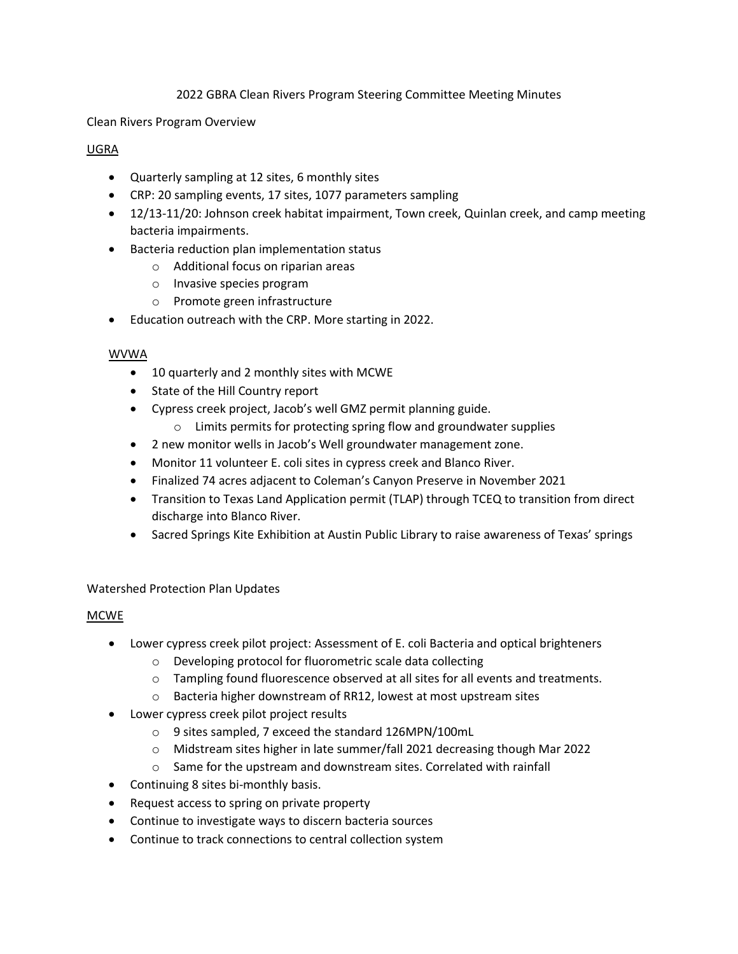### 2022 GBRA Clean Rivers Program Steering Committee Meeting Minutes

Clean Rivers Program Overview

### UGRA

- Quarterly sampling at 12 sites, 6 monthly sites
- CRP: 20 sampling events, 17 sites, 1077 parameters sampling
- 12/13-11/20: Johnson creek habitat impairment, Town creek, Quinlan creek, and camp meeting bacteria impairments.
- Bacteria reduction plan implementation status
	- o Additional focus on riparian areas
	- o Invasive species program
	- o Promote green infrastructure
- Education outreach with the CRP. More starting in 2022.

### WVWA

- 10 quarterly and 2 monthly sites with MCWE
- State of the Hill Country report
- Cypress creek project, Jacob's well GMZ permit planning guide.
	- o Limits permits for protecting spring flow and groundwater supplies
- 2 new monitor wells in Jacob's Well groundwater management zone.
- Monitor 11 volunteer E. coli sites in cypress creek and Blanco River.
- Finalized 74 acres adjacent to Coleman's Canyon Preserve in November 2021
- Transition to Texas Land Application permit (TLAP) through TCEQ to transition from direct discharge into Blanco River.
- Sacred Springs Kite Exhibition at Austin Public Library to raise awareness of Texas' springs

# Watershed Protection Plan Updates

# MCWE

- Lower cypress creek pilot project: Assessment of E. coli Bacteria and optical brighteners
	- o Developing protocol for fluorometric scale data collecting
	- o Tampling found fluorescence observed at all sites for all events and treatments.
	- o Bacteria higher downstream of RR12, lowest at most upstream sites
- Lower cypress creek pilot project results
	- o 9 sites sampled, 7 exceed the standard 126MPN/100mL
	- o Midstream sites higher in late summer/fall 2021 decreasing though Mar 2022
	- $\circ$  Same for the upstream and downstream sites. Correlated with rainfall
- Continuing 8 sites bi-monthly basis.
- Request access to spring on private property
- Continue to investigate ways to discern bacteria sources
- Continue to track connections to central collection system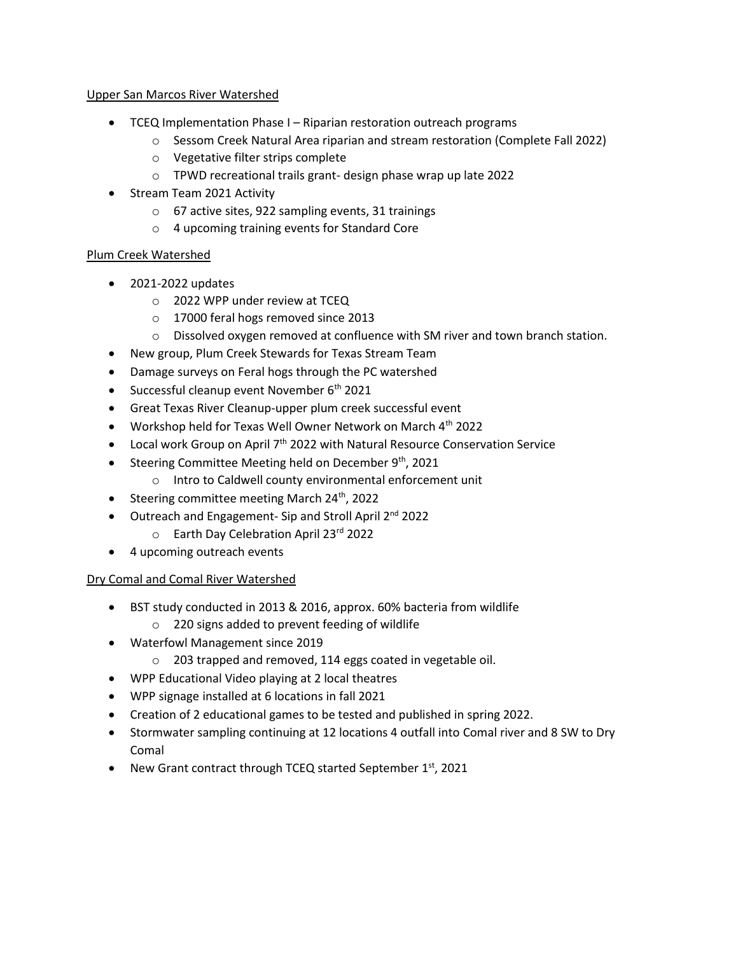### Upper San Marcos River Watershed

- TCEQ Implementation Phase I Riparian restoration outreach programs
	- o Sessom Creek Natural Area riparian and stream restoration (Complete Fall 2022)
	- o Vegetative filter strips complete
	- o TPWD recreational trails grant- design phase wrap up late 2022
- Stream Team 2021 Activity
	- o 67 active sites, 922 sampling events, 31 trainings
	- o 4 upcoming training events for Standard Core

# Plum Creek Watershed

- 2021-2022 updates
	- o 2022 WPP under review at TCEQ
	- o 17000 feral hogs removed since 2013
	- o Dissolved oxygen removed at confluence with SM river and town branch station.
- New group, Plum Creek Stewards for Texas Stream Team
- Damage surveys on Feral hogs through the PC watershed
- $\bullet$  Successful cleanup event November 6<sup>th</sup> 2021
- Great Texas River Cleanup-upper plum creek successful event
- Workshop held for Texas Well Owner Network on March 4<sup>th</sup> 2022
- Local work Group on April  $7<sup>th</sup>$  2022 with Natural Resource Conservation Service
- Steering Committee Meeting held on December  $9<sup>th</sup>$ , 2021
	- o Intro to Caldwell county environmental enforcement unit
- Steering committee meeting March  $24<sup>th</sup>$ , 2022
- Outreach and Engagement- Sip and Stroll April 2<sup>nd</sup> 2022
	- o Earth Day Celebration April 23rd 2022
- 4 upcoming outreach events

# Dry Comal and Comal River Watershed

- BST study conducted in 2013 & 2016, approx. 60% bacteria from wildlife
	- o 220 signs added to prevent feeding of wildlife
- Waterfowl Management since 2019
	- o 203 trapped and removed, 114 eggs coated in vegetable oil.
- WPP Educational Video playing at 2 local theatres
- WPP signage installed at 6 locations in fall 2021
- Creation of 2 educational games to be tested and published in spring 2022.
- Stormwater sampling continuing at 12 locations 4 outfall into Comal river and 8 SW to Dry Comal
- New Grant contract through TCEQ started September  $1<sup>st</sup>$ , 2021